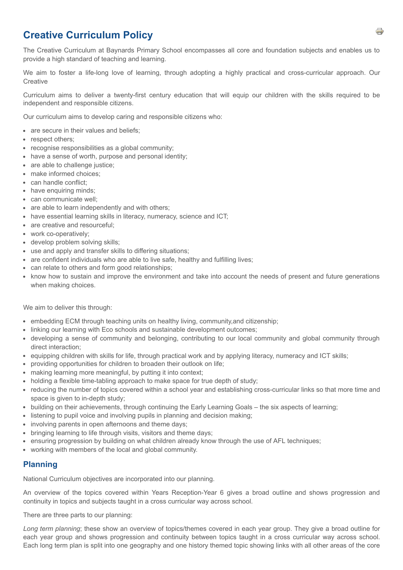# **Creative Curriculum Policy**

The Creative Curriculum at Baynards Primary School encompasses all core and foundation subjects and enables us to provide a high standard of teaching and learning.

We aim to foster a life-long love of learning, through adopting a highly practical and cross-curricular approach. Our **Creative** 

Curriculum aims to deliver a twenty-first century education that will equip our children with the skills required to be independent and responsible citizens.

Our curriculum aims to develop caring and responsible citizens who:

- are secure in their values and beliefs;
- respect others;
- recognise responsibilities as a global community;
- have a sense of worth, purpose and personal identity;
- are able to challenge justice;
- make informed choices;
- can handle conflict:
- have enquiring minds;
- can communicate well;
- are able to learn independently and with others;
- have essential learning skills in literacy, numeracy, science and ICT;
- are creative and resourceful;
- work co-operatively;
- develop problem solving skills;
- use and apply and transfer skills to differing situations;
- are confident individuals who are able to live safe, healthy and fulfilling lives;
- can relate to others and form good relationships;
- know how to sustain and improve the environment and take into account the needs of present and future generations when making choices.

We aim to deliver this through:

- embedding ECM through teaching units on healthy living, community,and citizenship;
- linking our learning with Eco schools and sustainable development outcomes;
- developing a sense of community and belonging, contributing to our local community and global community through direct interaction;
- equipping children with skills for life, through practical work and by applying literacy, numeracy and ICT skills;
- providing opportunities for children to broaden their outlook on life;
- making learning more meaningful, by putting it into context;
- holding a flexible time-tabling approach to make space for true depth of study;
- reducing the number of topics covered within a school year and establishing cross-curricular links so that more time and space is given to in-depth study;
- building on their achievements, through continuing the Early Learning Goals the six aspects of learning;
- listening to pupil voice and involving pupils in planning and decision making;
- involving parents in open afternoons and theme days:
- bringing learning to life through visits, visitors and theme days;
- ensuring progression by building on what children already know through the use of AFL techniques;
- working with members of the local and global community.

### **Planning**

National Curriculum objectives are incorporated into our planning.

An overview of the topics covered within Years Reception-Year 6 gives a broad outline and shows progression and continuity in topics and subjects taught in a cross curricular way across school.

There are three parts to our planning:

*Long term planning*; these show an overview of topics/themes covered in each year group. They give a broad outline for each year group and shows progression and continuity between topics taught in a cross curricular way across school. Each long term plan is split into one geography and one history themed topic showing links with all other areas of the core